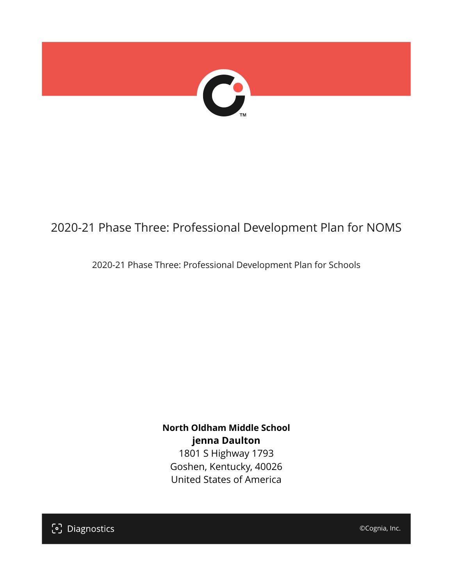

## 2020-21 Phase Three: Professional Development Plan for NOMS

2020-21 Phase Three: Professional Development Plan for Schools

**North Oldham Middle School jenna Daulton** 1801 S Highway 1793

Goshen, Kentucky, 40026 United States of America

[၁] Diagnostics

©Cognia, Inc.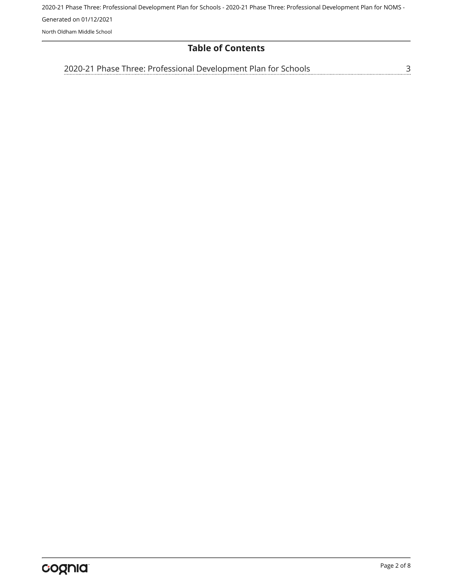## **Table of Contents**

[3](#page-2-0) [2020-21 Phase Three: Professional Development Plan for Schools](#page-2-0)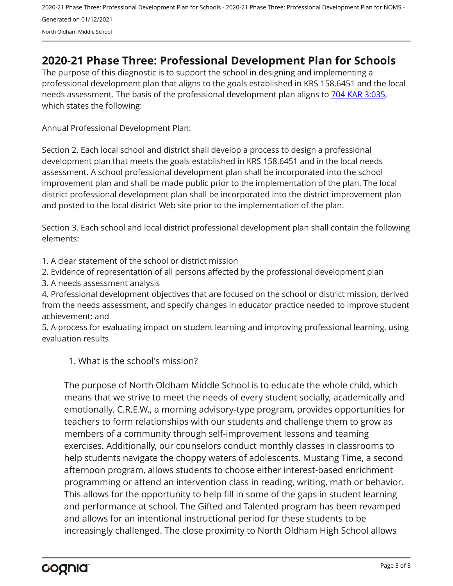## <span id="page-2-0"></span>**2020-21 Phase Three: Professional Development Plan for Schools**

The purpose of this diagnostic is to support the school in designing and implementing a professional development plan that aligns to the goals established in KRS 158.6451 and the local needs assessment. The basis of the professional development plan aligns to [704 KAR 3:035,](https://apps.legislature.ky.gov/Law/kar/704/003/035.pdf) which states the following:

Annual Professional Development Plan:

Section 2. Each local school and district shall develop a process to design a professional development plan that meets the goals established in KRS 158.6451 and in the local needs assessment. A school professional development plan shall be incorporated into the school improvement plan and shall be made public prior to the implementation of the plan. The local district professional development plan shall be incorporated into the district improvement plan and posted to the local district Web site prior to the implementation of the plan.

Section 3. Each school and local district professional development plan shall contain the following elements:

1. A clear statement of the school or district mission

2. Evidence of representation of all persons affected by the professional development plan

3. A needs assessment analysis

4. Professional development objectives that are focused on the school or district mission, derived from the needs assessment, and specify changes in educator practice needed to improve student achievement; and

5. A process for evaluating impact on student learning and improving professional learning, using evaluation results

1. What is the school's mission?

The purpose of North Oldham Middle School is to educate the whole child, which means that we strive to meet the needs of every student socially, academically and emotionally. C.R.E.W., a morning advisory-type program, provides opportunities for teachers to form relationships with our students and challenge them to grow as members of a community through self-improvement lessons and teaming exercises. Additionally, our counselors conduct monthly classes in classrooms to help students navigate the choppy waters of adolescents. Mustang Time, a second afternoon program, allows students to choose either interest-based enrichment programming or attend an intervention class in reading, writing, math or behavior. This allows for the opportunity to help fill in some of the gaps in student learning and performance at school. The Gifted and Talented program has been revamped and allows for an intentional instructional period for these students to be increasingly challenged. The close proximity to North Oldham High School allows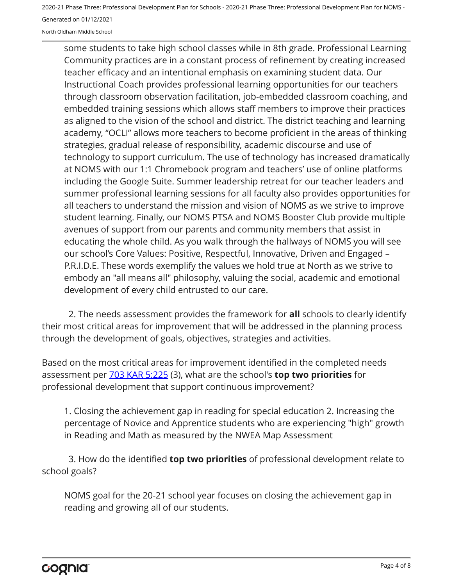North Oldham Middle School

some students to take high school classes while in 8th grade. Professional Learning Community practices are in a constant process of refinement by creating increased teacher efficacy and an intentional emphasis on examining student data. Our Instructional Coach provides professional learning opportunities for our teachers through classroom observation facilitation, job-embedded classroom coaching, and embedded training sessions which allows staff members to improve their practices as aligned to the vision of the school and district. The district teaching and learning academy, "OCLI" allows more teachers to become proficient in the areas of thinking strategies, gradual release of responsibility, academic discourse and use of technology to support curriculum. The use of technology has increased dramatically at NOMS with our 1:1 Chromebook program and teachers' use of online platforms including the Google Suite. Summer leadership retreat for our teacher leaders and summer professional learning sessions for all faculty also provides opportunities for all teachers to understand the mission and vision of NOMS as we strive to improve student learning. Finally, our NOMS PTSA and NOMS Booster Club provide multiple avenues of support from our parents and community members that assist in educating the whole child. As you walk through the hallways of NOMS you will see our school's Core Values: Positive, Respectful, Innovative, Driven and Engaged – P.R.I.D.E. These words exemplify the values we hold true at North as we strive to embody an "all means all" philosophy, valuing the social, academic and emotional development of every child entrusted to our care.

2. The needs assessment provides the framework for **all** schools to clearly identify their most critical areas for improvement that will be addressed in the planning process through the development of goals, objectives, strategies and activities.

Based on the most critical areas for improvement identified in the completed needs assessment per [703 KAR 5:225](https://apps.legislature.ky.gov/law/kar/703/005/225.pdf) (3), what are the school's **top two priorities** for professional development that support continuous improvement?

1. Closing the achievement gap in reading for special education 2. Increasing the percentage of Novice and Apprentice students who are experiencing "high" growth in Reading and Math as measured by the NWEA Map Assessment

3. How do the identified **top two priorities** of professional development relate to school goals?

NOMS goal for the 20-21 school year focuses on closing the achievement gap in reading and growing all of our students.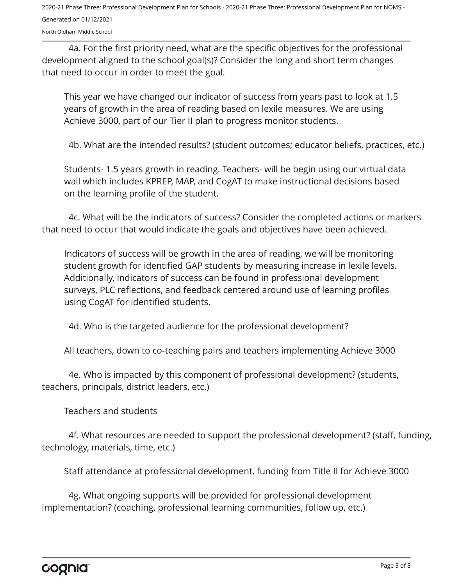North Oldham Middle School

4a. For the first priority need, what are the specific objectives for the professional development aligned to the school goal(s)? Consider the long and short term changes that need to occur in order to meet the goal.

This year we have changed our indicator of success from years past to look at 1.5 years of growth in the area of reading based on lexile measures. We are using Achieve 3000, part of our Tier II plan to progress monitor students.

4b. What are the intended results? (student outcomes; educator beliefs, practices, etc.)

Students- 1.5 years growth in reading. Teachers- will be begin using our virtual data wall which includes KPREP, MAP, and CogAT to make instructional decisions based on the learning profile of the student.

4c. What will be the indicators of success? Consider the completed actions or markers that need to occur that would indicate the goals and objectives have been achieved.

Indicators of success will be growth in the area of reading, we will be monitoring student growth for identified GAP students by measuring increase in lexile levels. Additionally, indicators of success can be found in professional development surveys, PLC reflections, and feedback centered around use of learning profiles using CogAT for identified students.

4d. Who is the targeted audience for the professional development?

All teachers, down to co-teaching pairs and teachers implementing Achieve 3000

4e. Who is impacted by this component of professional development? (students, teachers, principals, district leaders, etc.)

Teachers and students

4f. What resources are needed to support the professional development? (staff, funding, technology, materials, time, etc.)

Staff attendance at professional development, funding from Title II for Achieve 3000

4g. What ongoing supports will be provided for professional development implementation? (coaching, professional learning communities, follow up, etc.)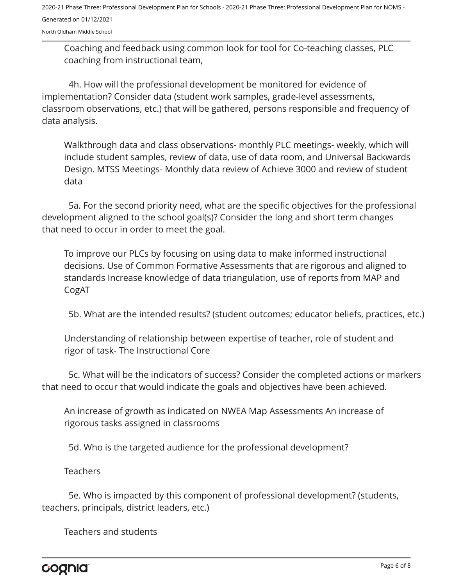North Oldham Middle School

Coaching and feedback using common look for tool for Co-teaching classes, PLC coaching from instructional team,

4h. How will the professional development be monitored for evidence of implementation? Consider data (student work samples, grade-level assessments, classroom observations, etc.) that will be gathered, persons responsible and frequency of data analysis.

Walkthrough data and class observations- monthly PLC meetings- weekly, which will include student samples, review of data, use of data room, and Universal Backwards Design. MTSS Meetings- Monthly data review of Achieve 3000 and review of student data

5a. For the second priority need, what are the specific objectives for the professional development aligned to the school goal(s)? Consider the long and short term changes that need to occur in order to meet the goal.

To improve our PLCs by focusing on using data to make informed instructional decisions. Use of Common Formative Assessments that are rigorous and aligned to standards Increase knowledge of data triangulation, use of reports from MAP and CogAT

5b. What are the intended results? (student outcomes; educator beliefs, practices, etc.)

Understanding of relationship between expertise of teacher, role of student and rigor of task- The Instructional Core

5c. What will be the indicators of success? Consider the completed actions or markers that need to occur that would indicate the goals and objectives have been achieved.

An increase of growth as indicated on NWEA Map Assessments An increase of rigorous tasks assigned in classrooms

5d. Who is the targeted audience for the professional development?

**Teachers** 

5e. Who is impacted by this component of professional development? (students, teachers, principals, district leaders, etc.)

Teachers and students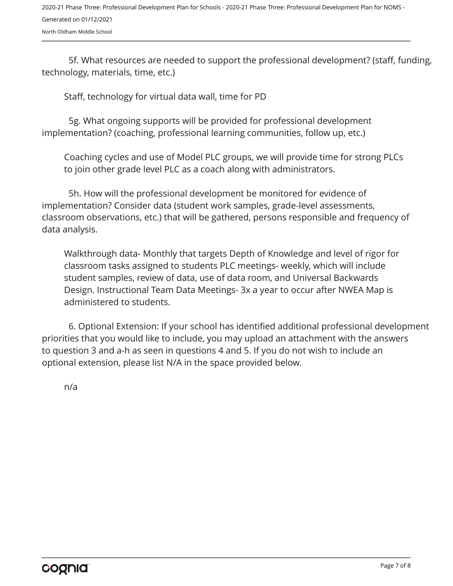5f. What resources are needed to support the professional development? (staff, funding, technology, materials, time, etc.)

Staff, technology for virtual data wall, time for PD

5g. What ongoing supports will be provided for professional development implementation? (coaching, professional learning communities, follow up, etc.)

Coaching cycles and use of Model PLC groups, we will provide time for strong PLCs to join other grade level PLC as a coach along with administrators.

5h. How will the professional development be monitored for evidence of implementation? Consider data (student work samples, grade-level assessments, classroom observations, etc.) that will be gathered, persons responsible and frequency of data analysis.

Walkthrough data- Monthly that targets Depth of Knowledge and level of rigor for classroom tasks assigned to students PLC meetings- weekly, which will include student samples, review of data, use of data room, and Universal Backwards Design. Instructional Team Data Meetings- 3x a year to occur after NWEA Map is administered to students.

6. Optional Extension: If your school has identified additional professional development priorities that you would like to include, you may upload an attachment with the answers to question 3 and a-h as seen in questions 4 and 5. If you do not wish to include an optional extension, please list N/A in the space provided below.

n/a